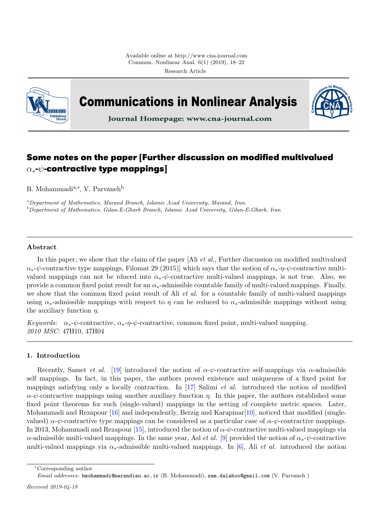

**Communications in Nonlinear Analysis** 



Journal Homepage: www.cna-journal.com

# **Some notes on the paper [Further discussion on modified multivalued** α∗**-**ψ**-contractive type mappings]**

B. Mohammadi<sup>a,∗</sup>, V. Parvaneh<sup>b</sup>

<sup>a</sup>Department of Mathematics, Marand Branch, Islamic Azad University, Marand, Iran.  $b$ Department of Mathematics, Gilan-E-Gharb Branch, Islamic Azad University, Gilan-E-Gharb, Iran

# Abstract

In this paper, we show that the claim of the paper [Ali *et al.*, Further discussion on modified multivalued  $\alpha_*\nu$ -contractive type mappings, Filomat 29 (2015)] which says that the notion of  $\alpha_*\nu$ - $\psi$ -contractive multivalued mappings can not be rduced into  $\alpha_*\psi$ -contractive multi-valued mappings, is not true. Also, we provide a common fixed point result for an  $\alpha_*$ -admissible countable family of multi-valued mappings. Finally, we show that the common fixed point result of Ali *et al.* for a countable family of multi-valued mappings using  $\alpha_*$ -admissible mappings with respect to  $\eta$  can be reduced to  $\alpha_*$ -admissible mappings without using the auxiliary function  $\eta$ .

Keywords:  $\alpha_*\psi$ -contractive,  $\alpha_*\eta\psi$ -contractive, common fixed point, multi-valued mapping. 2010 MSC: 47H10, 47H04

## <span id="page-0-0"></span>1. Introduction

Recently, Samet *et al.* [\[19\]](#page-4-0) introduced the notion of  $\alpha$ - $\psi$ -contractive self-mappings via  $\alpha$ -admissible self mappings. In fact, in this paper, the authors proved existence and uniqueness of a fixed point for mappings satisfying only a locally contraction. In [\[17\]](#page-4-1) Salimi et al. introduced the notion of modified  $\alpha$ - $\psi$ -contractive mappings using another auxiliary function  $\eta$ . In this paper, the authors established some fixed point theorems for such (single-valued) mappings in the setting of complete metric spaces. Later, Mohammadi and Rezapour [\[16\]](#page-4-2) and independently, Berzig and Karapinar [\[10\]](#page-4-3), noticed that modified (singlevalued)  $\alpha$ - $\psi$ -contractive type mappings can be considered as a particular case of  $\alpha$ - $\psi$ -contractive mappings. In 2013, Mohammadi and Rezapour [\[15\]](#page-4-4), introduced the notion of  $\alpha$ - $\psi$ -contractive multi-valued mappings via α-admissible multi-valued mappings. In the same year, Asl *et al.* [\[9\]](#page-4-5) provided the notion of  $\alpha_*\text{-}\psi$ -contractive multi-valued mappings via  $\alpha_*$ -admissible multi-valued mappings. In [\[6\]](#page-4-6), Ali *et al.* introduced the notion

<sup>∗</sup>Corresponding author

Email addresses: bmohammadi@marandiau.ac.ir (B. Mohammadi), zam.dalahoo@gmail.com (V. Parvaneh )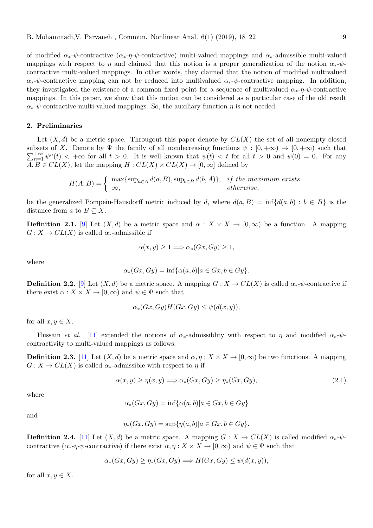of modified  $\alpha_*$ - $\psi$ -contractive ( $\alpha_*$ - $\eta$ - $\psi$ -contractive) multi-valued mappings and  $\alpha_*$ -admissible multi-valued mappings with respect to  $\eta$  and claimed that this notion is a proper generalization of the notion  $\alpha_*\psi$ contractive multi-valued mappings. In other words, they claimed that the notion of modified multivalued  $\alpha_*\psi$ -contractive mapping can not be reduced into multivalued  $\alpha_*\psi$ -contractive mapping. In addition, they investigated the existence of a common fixed point for a sequence of multivalued  $\alpha_*\neg \eta \cdot \psi$ -contractive mappings. In this paper, we show that this notion can be considered as a particular case of the old result  $\alpha_*\psi$ -contractive multi-valued mappings. So, the auxiliary function  $\eta$  is not needed.

## 2. Preliminaries

Let  $(X, d)$  be a metric space. Througout this paper denote by  $CL(X)$  the set of all nonempty closed  $\sum_{n=1}^{+\infty} \psi^n(t) < +\infty$  for all  $t > 0$ . It is well known that  $\psi(t) < t$  for all  $t > 0$  and  $\psi(0) = 0$ . For any subsets of X. Denote by  $\Psi$  the family of all nondecreasing functions  $\psi : [0, +\infty) \to [0, +\infty)$  such that  $A, B \in CL(X)$ , let the mapping  $H : CL(X) \times CL(X) \to [0, \infty]$  defined by

$$
H(A, B) = \begin{cases} \max\{\sup_{a \in A} d(a, B), \sup_{b \in B} d(b, A)\}, & \text{if the maximum exists} \\ \infty, & \text{otherwise,} \end{cases}
$$

be the generalized Pompeiu-Hausdorff metric induced by d, where  $d(a, B) = \inf \{d(a, b) : b \in B\}$  is the distance from a to  $B \subseteq X$ .

<span id="page-1-1"></span>**Definition 2.1.** [\[9\]](#page-4-5) Let  $(X,d)$  be a metric space and  $\alpha : X \times X \to [0,\infty)$  be a function. A mapping  $G: X \to CL(X)$  is called  $\alpha_*$ -admissible if

$$
\alpha(x, y) \ge 1 \Longrightarrow \alpha_*(Gx, Gy) \ge 1,
$$

where

$$
\alpha_*(Gx, Gy) = \inf \{ \alpha(a, b) | a \in Gx, b \in Gy \}.
$$

<span id="page-1-2"></span>**Definition 2.2.** [\[9\]](#page-4-5) Let  $(X, d)$  be a metric space. A mapping  $G: X \to CL(X)$  is called  $\alpha_* \psi$ -contractive if there exist  $\alpha: X \times X \to [0, \infty)$  and  $\psi \in \Psi$  such that

<span id="page-1-0"></span>
$$
\alpha_*(Gx, Gy)H(Gx, Gy) \le \psi(d(x, y)),
$$

for all  $x, y \in X$ .

Hussain et al. [\[11\]](#page-4-7) extended the notions of  $\alpha_*$ -admissiblity with respect to  $\eta$  and modified  $\alpha_*\psi$ contractivity to multi-valued mappings as follows.

<span id="page-1-3"></span>**Definition 2.3.** [\[11\]](#page-4-7) Let  $(X, d)$  be a metric space and  $\alpha, \eta : X \times X \to [0, \infty)$  be two functions. A mapping  $G: X \to CL(X)$  is called  $\alpha_*$ -admissible with respect to  $\eta$  if

$$
\alpha(x, y) \ge \eta(x, y) \Longrightarrow \alpha_*(Gx, Gy) \ge \eta_*(Gx, Gy), \tag{2.1}
$$

where

$$
\alpha_*(Gx, Gy) = \inf \{ \alpha(a, b) | a \in Gx, b \in Gy \}
$$

and

$$
\eta_*(Gx, Gy) = \sup\{\eta(a, b) | a \in Gx, b \in Gy\}.
$$

<span id="page-1-4"></span>**Definition 2.4.** [\[11\]](#page-4-7) Let  $(X, d)$  be a metric space. A mapping  $G: X \to CL(X)$  is called modified  $\alpha_* \psi$ contractive  $(\alpha_* \eta \cdot \psi)$ -contractive) if there exist  $\alpha, \eta : X \times X \to [0, \infty)$  and  $\psi \in \Psi$  such that

$$
\alpha_*(Gx, Gy) \ge \eta_*(Gx, Gy) \Longrightarrow H(Gx, Gy) \le \psi(d(x, y)),
$$

for all  $x, y \in X$ .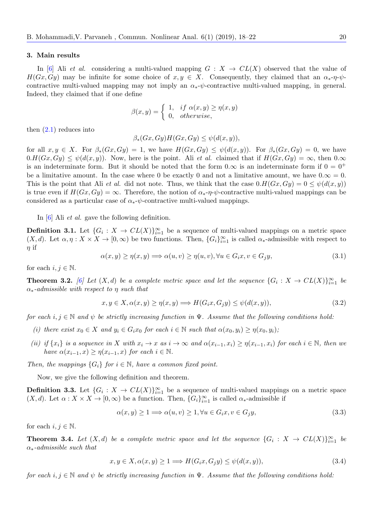#### <span id="page-2-4"></span>3. Main results

In [\[6\]](#page-4-6) Ali et al. considering a multi-valued mapping  $G : X \to CL(X)$  observed that the value of  $H(Gx, Gy)$  may be infinite for some choice of  $x, y \in X$ . Consequently, they claimed that an  $\alpha_* \eta \cdot \psi$ contractive multi-valued mapping may not imply an  $\alpha_*\text{-}\psi$ -contractive multi-valued mapping, in general. Indeed, they claimed that if one define

$$
\beta(x,y) = \begin{cases} 1, & \text{if } \alpha(x,y) \ge \eta(x,y) \\ 0, & \text{otherwise,} \end{cases}
$$

then  $(2.1)$  reduces into

$$
\beta_*(Gx, Gy)H(Gx, Gy) \leq \psi(d(x, y)),
$$

for all  $x, y \in X$ . For  $\beta_*(Gx, Gy) = 1$ , we have  $H(Gx, Gy) \leq \psi(d(x, y))$ . For  $\beta_*(Gx, Gy) = 0$ , we have  $0.H(Gx, Gy) \leq \psi(d(x, y))$ . Now, here is the point. Ali *et al.* claimed that if  $H(Gx, Gy) = \infty$ , then  $0.\infty$ is an indeterminate form. But it should be noted that the form  $0.\infty$  is an indeterminate form if  $0 = 0^+$ be a limitative amount. In the case where 0 be exactly 0 and not a limitative amount, we have  $0.\infty = 0$ . This is the point that Ali et al. did not note. Thus, we think that the case  $0.H(Gx, Gy) = 0 \leq \psi(d(x, y))$ is true even if  $H(Gx, Gy) = \infty$ . Therefore, the notion of  $\alpha_* \neg \eta \cdot \psi$ -contractive multi-valued mappings can be considered as a particular case of  $\alpha_*\psi$ -contractive multi-valued mappings.

In [\[6\]](#page-4-6) Ali *et al.* gave the following definition.

**Definition 3.1.** Let  $\{G_i : X \to CL(X)\}_{i=1}^{\infty}$  be a sequence of multi-valued mappings on a metric space  $(X, d)$ . Let  $\alpha, \eta : X \times X \to [0, \infty)$  be two functions. Then,  $\{G_i\}_{i=1}^{\infty}$  is called  $\alpha_*$ -admissible with respect to  $\eta$  if

$$
\alpha(x, y) \ge \eta(x, y) \Longrightarrow \alpha(u, v) \ge \eta(u, v), \forall u \in G_i, x v \in G_j, \tag{3.1}
$$

for each  $i, j \in \mathbb{N}$ .

<span id="page-2-1"></span>**Theorem 3.2.** [\[6\]](#page-4-6) Let  $(X,d)$  be a complete metric space and let the sequence  $\{G_i : X \to CL(X)\}_{i=1}^{\infty}$  be  $\alpha_*$ -admissible with respect to  $\eta$  such that

<span id="page-2-3"></span>
$$
x, y \in X, \alpha(x, y) \ge \eta(x, y) \Longrightarrow H(G_i x, G_j y) \le \psi(d(x, y)),\tag{3.2}
$$

for each i,  $j \in \mathbb{N}$  and  $\psi$  be strictly increasing function in  $\Psi$ . Assume that the following conditions hold:

- (i) there exist  $x_0 \in X$  and  $y_i \in G_i x_0$  for each  $i \in \mathbb{N}$  such that  $\alpha(x_0, y_i) \geq \eta(x_0, y_i)$ ;
- (ii) if  $\{x_i\}$  is a sequence in X with  $x_i \to x$  as  $i \to \infty$  and  $\alpha(x_{i-1}, x_i) \geq \eta(x_{i-1}, x_i)$  for each  $i \in \mathbb{N}$ , then we have  $\alpha(x_{i-1}, x) \geq \eta(x_{i-1}, x)$  for each  $i \in \mathbb{N}$ .

Then, the mappings  ${G_i}$  for  $i \in \mathbb{N}$ , have a common fixed point.

Now, we give the following definition and theorem.

**Definition 3.3.** Let  $\{G_i : X \to CL(X)\}_{i=1}^{\infty}$  be a sequence of multi-valued mappings on a metric space  $(X, d)$ . Let  $\alpha: X \times X \to [0, \infty)$  be a function. Then,  ${G_i}_{i=1}^{\infty}$  is called  $\alpha_*$ -admissible if

$$
\alpha(x, y) \ge 1 \Longrightarrow \alpha(u, v) \ge 1, \forall u \in G_i, v \in G_j y,\tag{3.3}
$$

for each  $i, j \in \mathbb{N}$ .

<span id="page-2-2"></span>**Theorem 3.4.** Let  $(X,d)$  be a complete metric space and let the sequence  $\{G_i : X \to CL(X)\}_{i=1}^{\infty}$  be  $\alpha_*$ -admissible such that

<span id="page-2-0"></span>
$$
x, y \in X, \alpha(x, y) \ge 1 \Longrightarrow H(G_i x, G_j y) \le \psi(d(x, y)), \tag{3.4}
$$

for each i,  $j \in \mathbb{N}$  and  $\psi$  be strictly increasing function in  $\Psi$ . Assume that the following conditions hold: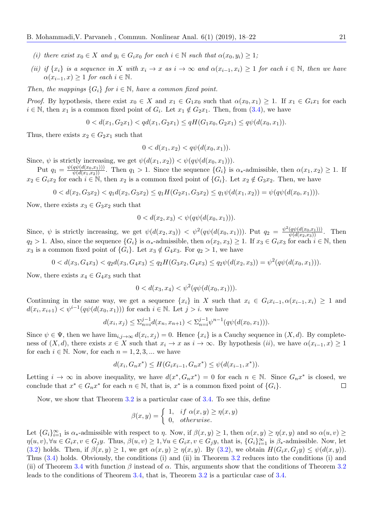- (i) there exist  $x_0 \in X$  and  $y_i \in G_i x_0$  for each  $i \in \mathbb{N}$  such that  $\alpha(x_0, y_i) \geq 1$ ;
- (ii) if  $\{x_i\}$  is a sequence in X with  $x_i \to x$  as  $i \to \infty$  and  $\alpha(x_{i-1}, x_i) \geq 1$  for each  $i \in \mathbb{N}$ , then we have  $\alpha(x_{i-1}, x) \geq 1$  for each  $i \in \mathbb{N}$ .

Then, the mappings  ${G_i}$  for  $i \in \mathbb{N}$ , have a common fixed point.

*Proof.* By hypothesis, there exist  $x_0 \in X$  and  $x_1 \in G_1x_0$  such that  $\alpha(x_0, x_1) \geq 1$ . If  $x_1 \in G_ix_1$  for each  $i \in \mathbb{N}$ , then  $x_1$  is a common fixed point of  $G_i$ . Let  $x_1 \notin G_2x_1$ . Then, from  $(3.4)$ , we have

$$
0 < d(x_1, G_2x_1) < qd(x_1, G_2x_1) \leq qH(G_1x_0, G_2x_1) \leq q\psi(d(x_0, x_1)).
$$

Thus, there exists  $x_2 \in G_2x_1$  such that

$$
0 < d(x_1, x_2) < q\psi(d(x_0, x_1)).
$$

Since,  $\psi$  is strictly increasing, we get  $\psi(d(x_1, x_2)) < \psi(q\psi(d(x_0, x_1))).$ 

Put  $q_1 = \frac{\psi(q\psi(d(x_0,x_1)))}{\psi(d(x_1,x_2))}$ . Then  $q_1 > 1$ . Since the sequence  $\{G_i\}$  is  $\alpha_*$ -admissible, then  $\alpha(x_1,x_2) \geq 1$ . If  $x_2 \in G_i x_2$  for each  $i \in \mathbb{N}$ , then  $x_2$  is a common fixed point of  $\{G_i\}$ . Let  $x_2 \notin G_3 x_2$ . Then, we have

$$
0 < d(x_2, G_3x_2) < q_1d(x_2, G_3x_2) \le q_1H(G_2x_1, G_3x_2) \le q_1\psi(d(x_1, x_2)) = \psi(q\psi(d(x_0, x_1))).
$$

Now, there exists  $x_3 \in G_3x_2$  such that

$$
0 < d(x_2, x_3) < \psi(q\psi(d(x_0, x_1))).
$$

Since,  $\psi$  is strictly increasing, we get  $\psi(d(x_2, x_3)) < \psi^2(q\psi(d(x_0, x_1)))$ . Put  $q_2 = \frac{\psi^2(q\psi(d(x_0, x_1)))}{\psi(d(x_2, x_3))}$ . Then  $q_2 > 1$ . Also, since the sequence  $\{G_i\}$  is  $\alpha_*$ -admissible, then  $\alpha(x_2, x_3) \geq 1$ . If  $x_3 \in G_i x_3$  for each  $i \in \mathbb{N}$ , then  $x_3$  is a common fixed point of  $\{G_i\}$ . Let  $x_3 \notin G_4x_3$ . For  $q_2 > 1$ , we have

 $0 < d(x_3, G_4x_3) < q_2d(x_3, G_4x_3) \leq q_2H(G_3x_2, G_4x_3) \leq q_2\psi(d(x_2, x_3)) = \psi^2(q\psi(d(x_0, x_1))).$ 

Now, there exists  $x_4 \in G_4x_3$  such that

$$
0 < d(x_3, x_4) < \psi^2(q\psi(d(x_0, x_1))).
$$

Continuing in the same way, we get a sequence  $\{x_i\}$  in X such that  $x_i \in G_i x_{i-1}, \alpha(x_{i-1}, x_i) \geq 1$  and  $d(x_i, x_{i+1}) < \psi^{i-1}(q\psi(d(x_0, x_1)))$  for each  $i \in \mathbb{N}$ . Let  $j > i$ . we have

$$
d(x_i, x_j) \le \sum_{n=i}^{j-1} d(x_n, x_{n+1}) < \sum_{n=i}^{j-1} \psi^{n-1}(q\psi(d(x_0, x_1))).
$$

Since  $\psi \in \Psi$ , then we have  $\lim_{i,j\to\infty} d(x_i,x_j)=0$ . Hence  $\{x_i\}$  is a Cauchy sequence in  $(X,d)$ . By completeness of  $(X, d)$ , there exists  $x \in X$  such that  $x_i \to x$  as  $i \to \infty$ . By hypothesis  $(ii)$ , we have  $\alpha(x_{i-1}, x) \geq 1$ for each  $i \in \mathbb{N}$ . Now, for each  $n = 1, 2, 3, ...$  we have

$$
d(x_i, G_n x^*) \le H(G_i x_{i-1}, G_n x^*) \le \psi(d(x_{i-1}, x^*)).
$$

Letting  $i \to \infty$  in above inequality, we have  $d(x^*, G_n x^*) = 0$  for each  $n \in \mathbb{N}$ . Since  $G_n x^*$  is closed, we conclude that  $x^* \in G_n x^*$  for each  $n \in \mathbb{N}$ , that is,  $x^*$  is a common fixed point of  $\{G_i\}$ .  $\Box$ 

Now, we show that Theorem [3.2](#page-2-1) is a particular case of [3.4.](#page-2-2) To see this, define

$$
\beta(x,y) = \begin{cases} 1, & \text{if } \alpha(x,y) \ge \eta(x,y) \\ 0, & \text{otherwise.} \end{cases}
$$

Let  ${G_i}_{i=1}^{\infty}$  is  $\alpha_*$ -admissible with respect to  $\eta$ . Now, if  $\beta(x, y) \geq 1$ , then  $\alpha(x, y) \geq \eta(x, y)$  and so  $\alpha(u, v) \geq$  $\eta(u, v), \forall u \in G_i x, v \in G_j y$ . Thus,  $\beta(u, v) \geq 1, \forall u \in G_i x, v \in G_j y$ , that is,  $\{G_i\}_{i=1}^{\infty}$  is  $\beta_*$ -admissible. Now, let [\(3.2\)](#page-2-3) holds. Then, if  $\beta(x, y) \geq 1$ , we get  $\alpha(x, y) \geq \eta(x, y)$ . By (3.2), we obtain  $H(G_i x, G_j y) \leq \psi(d(x, y))$ . Thus [\(3.4\)](#page-2-0) holds. Obviously, the conditions (i) and (ii) in Theorem [3.2](#page-2-1) reduces into the conditions (i) and (ii) of Theorem [3.4](#page-2-2) with function  $\beta$  instead of  $\alpha$ . This, arguments show that the conditions of Theorem [3.2](#page-2-1) leads to the conditions of Theorem [3.4,](#page-2-2) that is, Theorem [3.2](#page-2-1) is a particular case of [3.4.](#page-2-2)